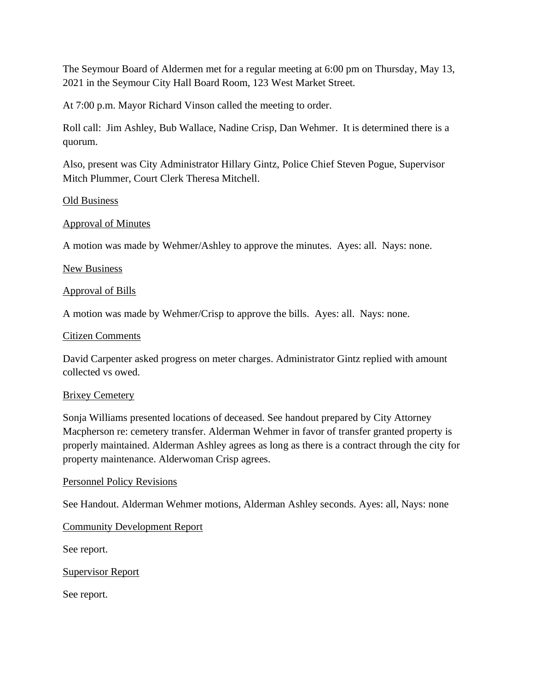The Seymour Board of Aldermen met for a regular meeting at 6:00 pm on Thursday, May 13, 2021 in the Seymour City Hall Board Room, 123 West Market Street.

At 7:00 p.m. Mayor Richard Vinson called the meeting to order.

Roll call: Jim Ashley, Bub Wallace, Nadine Crisp, Dan Wehmer. It is determined there is a quorum.

Also, present was City Administrator Hillary Gintz, Police Chief Steven Pogue, Supervisor Mitch Plummer, Court Clerk Theresa Mitchell.

## Old Business

## Approval of Minutes

A motion was made by Wehmer/Ashley to approve the minutes. Ayes: all. Nays: none.

## New Business

## Approval of Bills

A motion was made by Wehmer/Crisp to approve the bills. Ayes: all. Nays: none.

## Citizen Comments

David Carpenter asked progress on meter charges. Administrator Gintz replied with amount collected vs owed.

## Brixey Cemetery

Sonja Williams presented locations of deceased. See handout prepared by City Attorney Macpherson re: cemetery transfer. Alderman Wehmer in favor of transfer granted property is properly maintained. Alderman Ashley agrees as long as there is a contract through the city for property maintenance. Alderwoman Crisp agrees.

## Personnel Policy Revisions

See Handout. Alderman Wehmer motions, Alderman Ashley seconds. Ayes: all, Nays: none

## Community Development Report

See report.

## Supervisor Report

See report.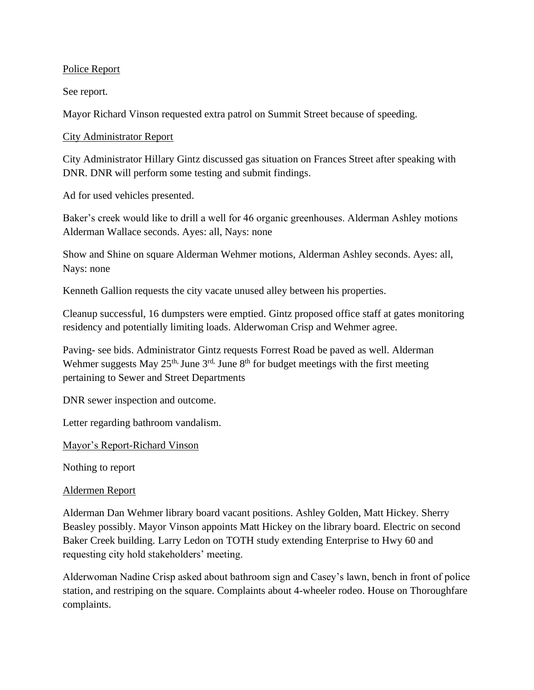# Police Report

See report.

Mayor Richard Vinson requested extra patrol on Summit Street because of speeding.

City Administrator Report

City Administrator Hillary Gintz discussed gas situation on Frances Street after speaking with DNR. DNR will perform some testing and submit findings.

Ad for used vehicles presented.

Baker's creek would like to drill a well for 46 organic greenhouses. Alderman Ashley motions Alderman Wallace seconds. Ayes: all, Nays: none

Show and Shine on square Alderman Wehmer motions, Alderman Ashley seconds. Ayes: all, Nays: none

Kenneth Gallion requests the city vacate unused alley between his properties.

Cleanup successful, 16 dumpsters were emptied. Gintz proposed office staff at gates monitoring residency and potentially limiting loads. Alderwoman Crisp and Wehmer agree.

Paving- see bids. Administrator Gintz requests Forrest Road be paved as well. Alderman Wehmer suggests May  $25<sup>th</sup>$ , June  $3<sup>rd</sup>$ , June  $8<sup>th</sup>$  for budget meetings with the first meeting pertaining to Sewer and Street Departments

DNR sewer inspection and outcome.

Letter regarding bathroom vandalism.

Mayor's Report-Richard Vinson

Nothing to report

## Aldermen Report

Alderman Dan Wehmer library board vacant positions. Ashley Golden, Matt Hickey. Sherry Beasley possibly. Mayor Vinson appoints Matt Hickey on the library board. Electric on second Baker Creek building. Larry Ledon on TOTH study extending Enterprise to Hwy 60 and requesting city hold stakeholders' meeting.

Alderwoman Nadine Crisp asked about bathroom sign and Casey's lawn, bench in front of police station, and restriping on the square. Complaints about 4-wheeler rodeo. House on Thoroughfare complaints.